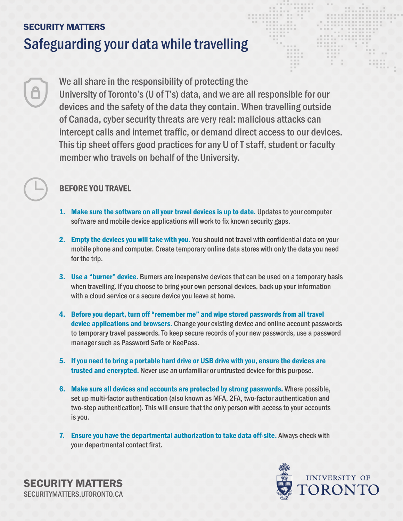# SECURITY MATTERS Safeguarding your data while travelling

We all share in the responsibility of protecting the University of Toronto's (U of T's) data, and we are all responsible for our devices and the safety of the data they contain. When travelling outside of Canada, cyber security threats are very real: malicious attacks can intercept calls and internet traffic, or demand direct access to our devices. This tip sheet offers good practices for any U of T staff, student or faculty member who travels on behalf of the University.

### BEFORE YOU TRAVEL

- 1. Make sure the software on all your travel devices is up to date. Updates to your computer software and mobile device applications will work to fix known security gaps.
- 2. Empty the devices you will take with you. You should not travel with confidential data on your mobile phone and computer. Create temporary online data stores with only the data you need for the trip.
- **3.** Use a "burner" device. Burners are inexpensive devices that can be used on a temporary basis when travelling. If you choose to bring your own personal devices, back up your information with a cloud service or a secure device you leave at home.
- 4. Before you depart, turn off "remember me" and wipe stored passwords from all travel device applications and browsers. Change your existing device and online account passwords to temporary travel passwords. To keep secure records of your new passwords, use a password manager such as Password Safe or KeePass.
- 5. If you need to bring a portable hard drive or USB drive with you, ensure the devices are trusted and encrypted. Never use an unfamiliar or untrusted device for this purpose.
- 6. Make sure all devices and accounts are protected by strong passwords. Where possible, set up multi-factor authentication (also known as MFA, 2FA, two-factor authentication and two-step authentication). This will ensure that the only person with access to your accounts is you.
- 7. Ensure you have the departmental authorization to take data off-site. Always check with your departmental contact first.



SECURITY MATTERS [SECURITYMATTERS.UTORONTO.CA](https://securitymatters.utoronto.ca/)